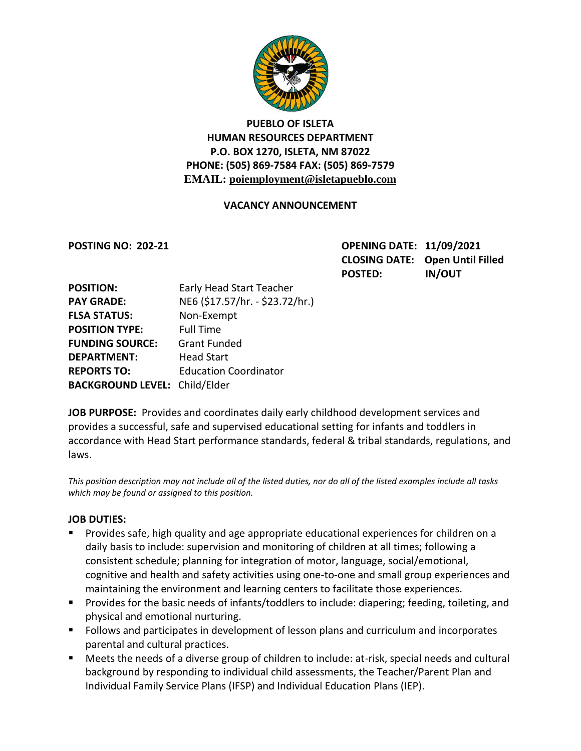

# **PUEBLO OF ISLETA HUMAN RESOURCES DEPARTMENT P.O. BOX 1270, ISLETA, NM 87022 PHONE: (505) 869-7584 FAX: (505) 869-7579 EMAIL: poiemployment@isletapueblo.com**

### **VACANCY ANNOUNCEMENT**

**POSTING NO: 202-21 OPENING DATE: 11/09/2021 CLOSING DATE: Open Until Filled POSTED: IN/OUT**

| <b>POSITION:</b>                     | Early Head Start Teacher        |
|--------------------------------------|---------------------------------|
| <b>PAY GRADE:</b>                    | NE6 (\$17.57/hr. - \$23.72/hr.) |
| <b>FLSA STATUS:</b>                  | Non-Exempt                      |
| <b>POSITION TYPE:</b>                | <b>Full Time</b>                |
| <b>FUNDING SOURCE:</b>               | <b>Grant Funded</b>             |
| <b>DEPARTMENT:</b>                   | <b>Head Start</b>               |
| <b>REPORTS TO:</b>                   | <b>Education Coordinator</b>    |
| <b>BACKGROUND LEVEL: Child/Elder</b> |                                 |

**JOB PURPOSE:** Provides and coordinates daily early childhood development services and provides a successful, safe and supervised educational setting for infants and toddlers in accordance with Head Start performance standards, federal & tribal standards, regulations, and laws.

*This position description may not include all of the listed duties, nor do all of the listed examples include all tasks which may be found or assigned to this position.*

#### **JOB DUTIES:**

- **Provides safe, high quality and age appropriate educational experiences for children on a** daily basis to include: supervision and monitoring of children at all times; following a consistent schedule; planning for integration of motor, language, social/emotional, cognitive and health and safety activities using one-to-one and small group experiences and maintaining the environment and learning centers to facilitate those experiences.
- **Provides for the basic needs of infants/toddlers to include: diapering; feeding, toileting, and** physical and emotional nurturing.
- **FILLO** Follows and participates in development of lesson plans and curriculum and incorporates parental and cultural practices.
- Meets the needs of a diverse group of children to include: at-risk, special needs and cultural background by responding to individual child assessments, the Teacher/Parent Plan and Individual Family Service Plans (IFSP) and Individual Education Plans (IEP).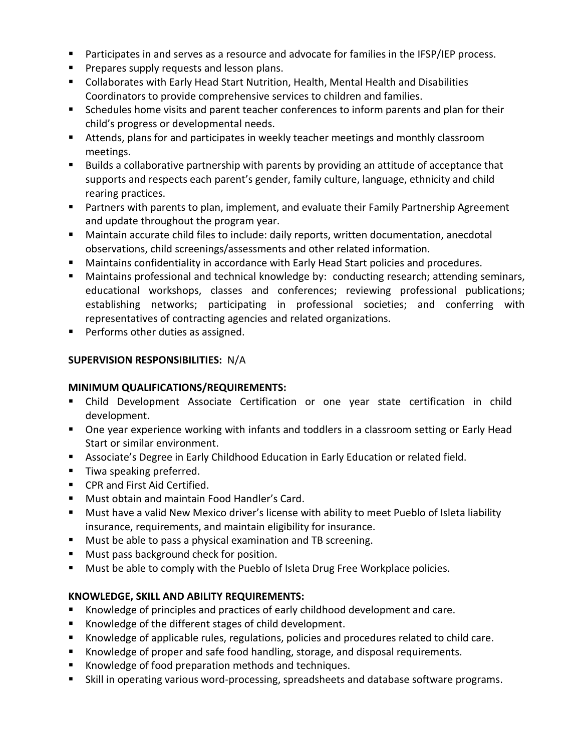- Participates in and serves as a resource and advocate for families in the IFSP/IEP process.
- **Prepares supply requests and lesson plans.**
- Collaborates with Early Head Start Nutrition, Health, Mental Health and Disabilities Coordinators to provide comprehensive services to children and families.
- **Schedules home visits and parent teacher conferences to inform parents and plan for their** child's progress or developmental needs.
- Attends, plans for and participates in weekly teacher meetings and monthly classroom meetings.
- **Builds a collaborative partnership with parents by providing an attitude of acceptance that** supports and respects each parent's gender, family culture, language, ethnicity and child rearing practices.
- Partners with parents to plan, implement, and evaluate their Family Partnership Agreement and update throughout the program year.
- Maintain accurate child files to include: daily reports, written documentation, anecdotal observations, child screenings/assessments and other related information.
- **Maintains confidentiality in accordance with Early Head Start policies and procedures.**
- Maintains professional and technical knowledge by: conducting research; attending seminars, educational workshops, classes and conferences; reviewing professional publications; establishing networks; participating in professional societies; and conferring with representatives of contracting agencies and related organizations.
- **Performs other duties as assigned.**

## **SUPERVISION RESPONSIBILITIES:** N/A

#### **MINIMUM QUALIFICATIONS/REQUIREMENTS:**

- Child Development Associate Certification or one year state certification in child development.
- **Diamage 1** One year experience working with infants and toddlers in a classroom setting or Early Head Start or similar environment.
- **Associate's Degree in Early Childhood Education in Early Education or related field.**
- **Tiwa speaking preferred.**
- CPR and First Aid Certified.
- **Must obtain and maintain Food Handler's Card.**
- Must have a valid New Mexico driver's license with ability to meet Pueblo of Isleta liability insurance, requirements, and maintain eligibility for insurance.
- **Must be able to pass a physical examination and TB screening.**
- Must pass background check for position.
- **Must be able to comply with the Pueblo of Isleta Drug Free Workplace policies.**

## **KNOWLEDGE, SKILL AND ABILITY REQUIREMENTS:**

- Knowledge of principles and practices of early childhood development and care.
- Knowledge of the different stages of child development.
- Knowledge of applicable rules, regulations, policies and procedures related to child care.
- Knowledge of proper and safe food handling, storage, and disposal requirements.
- **K** Knowledge of food preparation methods and techniques.
- Skill in operating various word-processing, spreadsheets and database software programs.